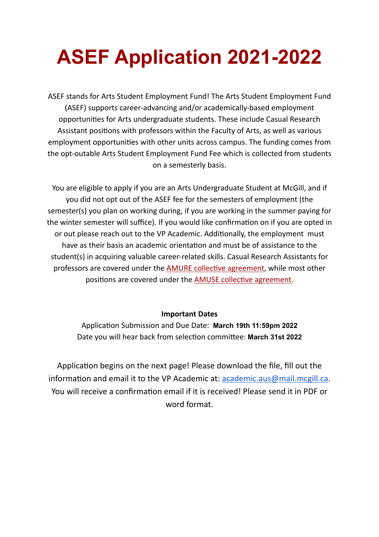# **ASEF Application 2021-2022**

ASEF stands for Arts Student Employment Fund! The Arts Student Employment Fund (ASEF) supports career-advancing and/or academically-based employment opportunities for Arts undergraduate students. These include Casual Research Assistant positions with professors within the Faculty of Arts, as well as various employment opportunities with other units across campus. The funding comes from the opt-outable Arts Student Employment Fund Fee which is collected from students on a semesterly basis.

You are eligible to apply if you are an Arts Undergraduate Student at McGill, and if you did not opt out of the ASEF fee for the semesters of employment (the semester(s) you plan on working during, if you are working in the summer paying for the winter semester will suffice). If you would like confirmation on if you are opted in or out please reach out to the VP Academic. Additionally, the employment must have as their basis an academic orientation and must be of assistance to the student(s) in acquiring valuable career-related skills. Casual Research Assistants for professors are covered under the AMURE collective agreement, while most other positions are covered under the **AMUSE collective agreement**.

## **Important Dates**

Application Submission and Due Date: March 19th 11:59pm 2022 Date you will hear back from selection committee: March 31st 2022

Application begins on the next page! Please download the file, fill out the information and email it to the VP Academic at:  $academic.aus@mail.mcgill.ca.$  $academic.aus@mail.mcgill.ca.$ You will receive a confirmation email if it is received! Please send it in PDF or word format.